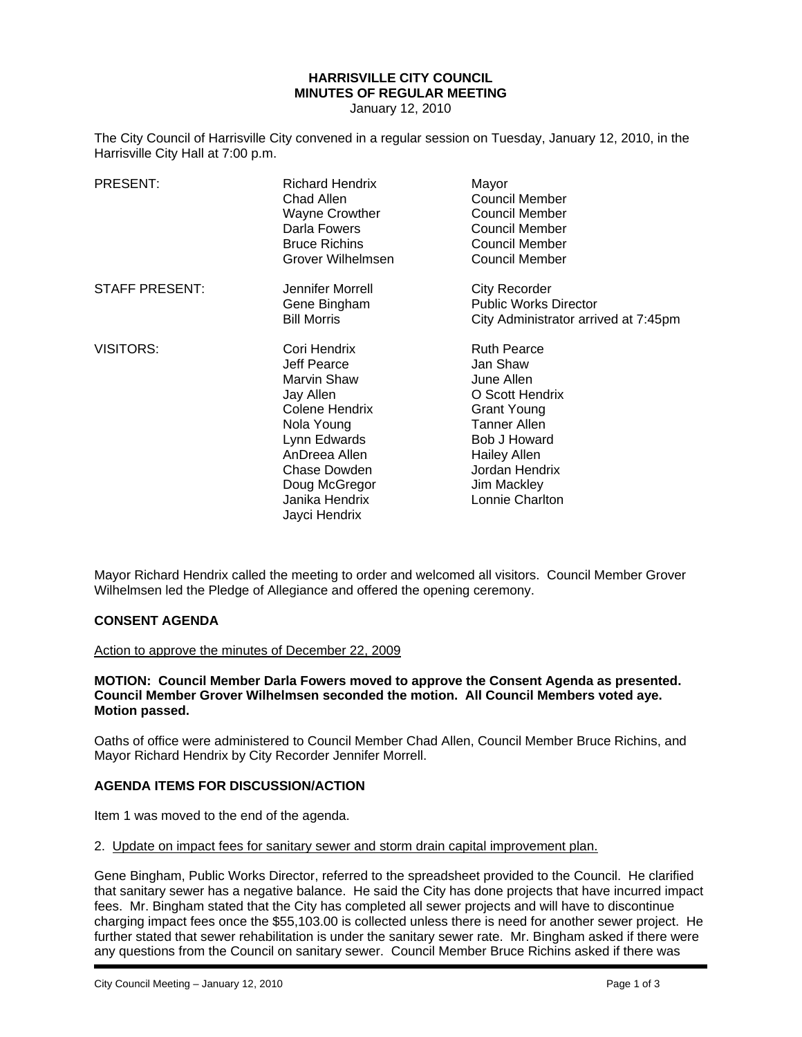# **HARRISVILLE CITY COUNCIL MINUTES OF REGULAR MEETING**

January 12, 2010

The City Council of Harrisville City convened in a regular session on Tuesday, January 12, 2010, in the Harrisville City Hall at 7:00 p.m.

| PRESENT:              | <b>Richard Hendrix</b><br>Chad Allen<br><b>Wayne Crowther</b><br>Darla Fowers<br><b>Bruce Richins</b><br>Grover Wilhelmsen                                                                   | Mayor<br>Council Member<br><b>Council Member</b><br>Council Member<br><b>Council Member</b><br><b>Council Member</b>                                                                                    |
|-----------------------|----------------------------------------------------------------------------------------------------------------------------------------------------------------------------------------------|---------------------------------------------------------------------------------------------------------------------------------------------------------------------------------------------------------|
| <b>STAFF PRESENT:</b> | Jennifer Morrell<br>Gene Bingham<br><b>Bill Morris</b>                                                                                                                                       | <b>City Recorder</b><br><b>Public Works Director</b><br>City Administrator arrived at 7:45pm                                                                                                            |
| <b>VISITORS:</b>      | Cori Hendrix<br>Jeff Pearce<br>Marvin Shaw<br>Jay Allen<br>Colene Hendrix<br>Nola Young<br>Lynn Edwards<br>AnDreea Allen<br>Chase Dowden<br>Doug McGregor<br>Janika Hendrix<br>Jayci Hendrix | <b>Ruth Pearce</b><br>Jan Shaw<br>June Allen<br>O Scott Hendrix<br><b>Grant Young</b><br><b>Tanner Allen</b><br><b>Bob J Howard</b><br>Hailey Allen<br>Jordan Hendrix<br>Jim Mackley<br>Lonnie Charlton |

Mayor Richard Hendrix called the meeting to order and welcomed all visitors. Council Member Grover Wilhelmsen led the Pledge of Allegiance and offered the opening ceremony.

# **CONSENT AGENDA**

Action to approve the minutes of December 22, 2009

#### **MOTION: Council Member Darla Fowers moved to approve the Consent Agenda as presented. Council Member Grover Wilhelmsen seconded the motion. All Council Members voted aye. Motion passed.**

Oaths of office were administered to Council Member Chad Allen, Council Member Bruce Richins, and Mayor Richard Hendrix by City Recorder Jennifer Morrell.

## **AGENDA ITEMS FOR DISCUSSION/ACTION**

Item 1 was moved to the end of the agenda.

2. Update on impact fees for sanitary sewer and storm drain capital improvement plan.

Gene Bingham, Public Works Director, referred to the spreadsheet provided to the Council. He clarified that sanitary sewer has a negative balance. He said the City has done projects that have incurred impact fees. Mr. Bingham stated that the City has completed all sewer projects and will have to discontinue charging impact fees once the \$55,103.00 is collected unless there is need for another sewer project. He further stated that sewer rehabilitation is under the sanitary sewer rate. Mr. Bingham asked if there were any questions from the Council on sanitary sewer. Council Member Bruce Richins asked if there was

i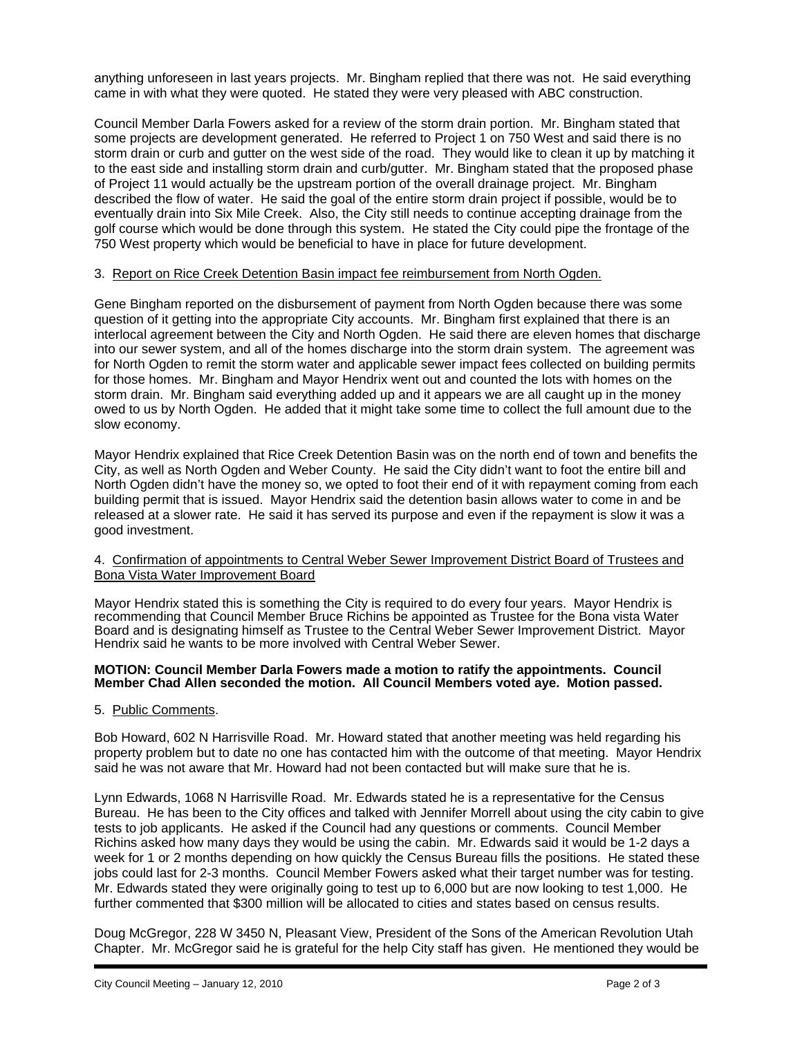anything unforeseen in last years projects. Mr. Bingham replied that there was not. He said everything came in with what they were quoted. He stated they were very pleased with ABC construction.

Council Member Darla Fowers asked for a review of the storm drain portion. Mr. Bingham stated that some projects are development generated. He referred to Project 1 on 750 West and said there is no storm drain or curb and gutter on the west side of the road. They would like to clean it up by matching it to the east side and installing storm drain and curb/gutter. Mr. Bingham stated that the proposed phase of Project 11 would actually be the upstream portion of the overall drainage project. Mr. Bingham described the flow of water. He said the goal of the entire storm drain project if possible, would be to eventually drain into Six Mile Creek. Also, the City still needs to continue accepting drainage from the golf course which would be done through this system. He stated the City could pipe the frontage of the 750 West property which would be beneficial to have in place for future development.

# 3. Report on Rice Creek Detention Basin impact fee reimbursement from North Ogden.

Gene Bingham reported on the disbursement of payment from North Ogden because there was some question of it getting into the appropriate City accounts. Mr. Bingham first explained that there is an interlocal agreement between the City and North Ogden. He said there are eleven homes that discharge into our sewer system, and all of the homes discharge into the storm drain system. The agreement was for North Ogden to remit the storm water and applicable sewer impact fees collected on building permits for those homes. Mr. Bingham and Mayor Hendrix went out and counted the lots with homes on the storm drain. Mr. Bingham said everything added up and it appears we are all caught up in the money owed to us by North Ogden. He added that it might take some time to collect the full amount due to the slow economy.

Mayor Hendrix explained that Rice Creek Detention Basin was on the north end of town and benefits the City, as well as North Ogden and Weber County. He said the City didn't want to foot the entire bill and North Ogden didn't have the money so, we opted to foot their end of it with repayment coming from each building permit that is issued. Mayor Hendrix said the detention basin allows water to come in and be released at a slower rate. He said it has served its purpose and even if the repayment is slow it was a good investment.

## 4. Confirmation of appointments to Central Weber Sewer Improvement District Board of Trustees and Bona Vista Water Improvement Board

Mayor Hendrix stated this is something the City is required to do every four years. Mayor Hendrix is recommending that Council Member Bruce Richins be appointed as Trustee for the Bona vista Water Board and is designating himself as Trustee to the Central Weber Sewer Improvement District. Mayor Hendrix said he wants to be more involved with Central Weber Sewer.

#### **MOTION: Council Member Darla Fowers made a motion to ratify the appointments. Council Member Chad Allen seconded the motion. All Council Members voted aye. Motion passed.**

## 5. Public Comments.

Bob Howard, 602 N Harrisville Road. Mr. Howard stated that another meeting was held regarding his property problem but to date no one has contacted him with the outcome of that meeting. Mayor Hendrix said he was not aware that Mr. Howard had not been contacted but will make sure that he is.

Lynn Edwards, 1068 N Harrisville Road. Mr. Edwards stated he is a representative for the Census Bureau. He has been to the City offices and talked with Jennifer Morrell about using the city cabin to give tests to job applicants. He asked if the Council had any questions or comments. Council Member Richins asked how many days they would be using the cabin. Mr. Edwards said it would be 1-2 days a week for 1 or 2 months depending on how quickly the Census Bureau fills the positions. He stated these jobs could last for 2-3 months. Council Member Fowers asked what their target number was for testing. Mr. Edwards stated they were originally going to test up to 6,000 but are now looking to test 1,000. He further commented that \$300 million will be allocated to cities and states based on census results.

Doug McGregor, 228 W 3450 N, Pleasant View, President of the Sons of the American Revolution Utah Chapter. Mr. McGregor said he is grateful for the help City staff has given. He mentioned they would be

i